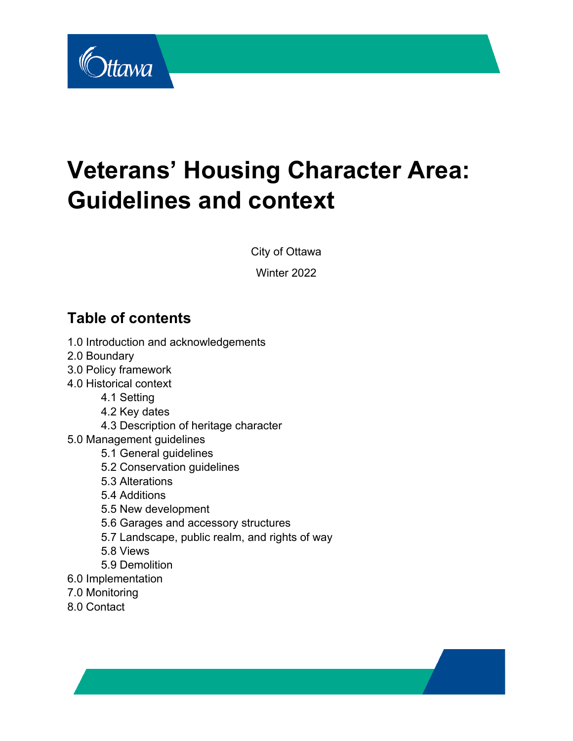

# **Veterans' Housing Character Area: Guidelines and context**

City of Ottawa

Winter 2022

# **Table of contents**

- 1.0 Introduction and acknowledgements
- 2.0 Boundary
- 3.0 Policy framework
- 4.0 Historical context
	- 4.1 Setting
	- 4.2 Key dates
	- 4.3 Description of heritage character
- 5.0 Management guidelines
	- 5.1 General guidelines
	- 5.2 Conservation guidelines
	- 5.3 Alterations
	- 5.4 Additions
	- 5.5 New development
	- 5.6 Garages and accessory structures
	- 5.7 Landscape, public realm, and rights of way
	- 5.8 Views
	- 5.9 Demolition
- 6.0 Implementation
- 7.0 Monitoring
- 8.0 Contact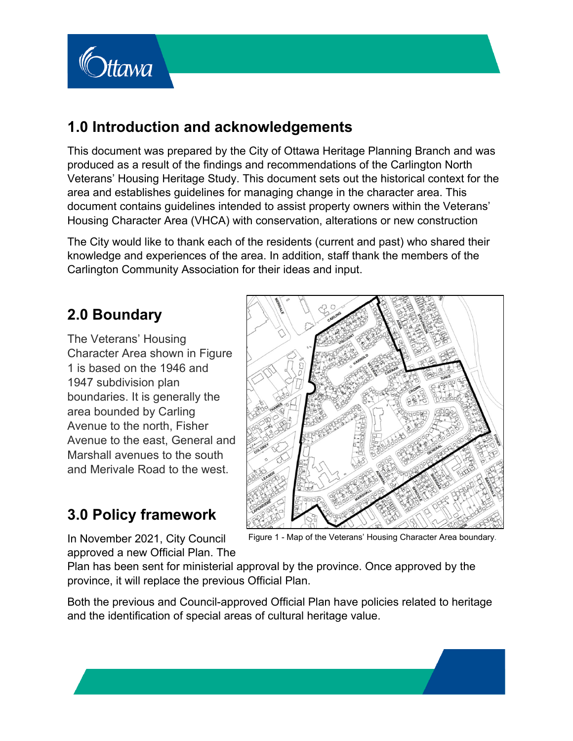

# **1.0 Introduction and acknowledgements**

This document was prepared by the City of Ottawa Heritage Planning Branch and was produced as a result of the findings and recommendations of the Carlington North Veterans' Housing Heritage Study. This document sets out the historical context for the area and establishes guidelines for managing change in the character area. This document contains guidelines intended to assist property owners within the Veterans' Housing Character Area (VHCA) with conservation, alterations or new construction

The City would like to thank each of the residents (current and past) who shared their knowledge and experiences of the area. In addition, staff thank the members of the Carlington Community Association for their ideas and input.

# **2.0 Boundary**

The Veterans' Housing Character Area shown in Figure 1 is based on the 1946 and 1947 subdivision plan boundaries. It is generally the area bounded by Carling Avenue to the north, Fisher Avenue to the east, General and Marshall avenues to the south and Merivale Road to the west.



# **3.0 Policy framework**

Figure 1 - Map of the Veterans' Housing Character Area boundary*.*

In November 2021, City Council approved a new Official Plan. The

Plan has been sent for ministerial approval by the province. Once approved by the province, it will replace the previous Official Plan.

Both the previous and Council-approved Official Plan have policies related to heritage and the identification of special areas of cultural heritage value.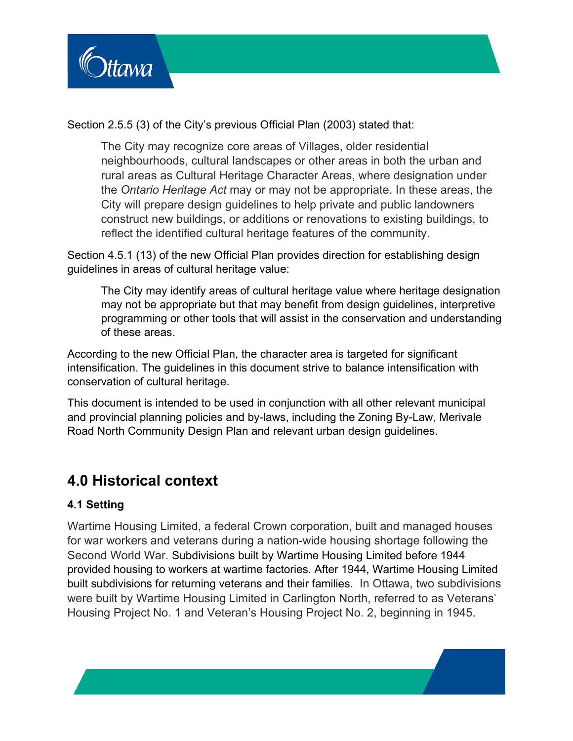

Section 2.5.5 (3) of the City's previous Official Plan (2003) stated that:

The City may recognize core areas of Villages, older residential neighbourhoods, cultural landscapes or other areas in both the urban and rural areas as Cultural Heritage Character Areas, where designation under the *Ontario Heritage Act* may or may not be appropriate. In these areas, the City will prepare design guidelines to help private and public landowners construct new buildings, or additions or renovations to existing buildings, to reflect the identified cultural heritage features of the community.

Section 4.5.1 (13) of the new Official Plan provides direction for establishing design guidelines in areas of cultural heritage value:

The City may identify areas of cultural heritage value where heritage designation may not be appropriate but that may benefit from design guidelines, interpretive programming or other tools that will assist in the conservation and understanding of these areas.

According to the new Official Plan, the character area is targeted for significant intensification. The guidelines in this document strive to balance intensification with conservation of cultural heritage.

This document is intended to be used in conjunction with all other relevant municipal and provincial planning policies and by-laws, including the Zoning By-Law, Merivale Road North Community Design Plan and relevant urban design guidelines.

## **4.0 Historical context**

### **4.1 Setting**

Wartime Housing Limited, a federal Crown corporation, built and managed houses for war workers and veterans during a nation-wide housing shortage following the Second World War. Subdivisions built by Wartime Housing Limited before 1944 provided housing to workers at wartime factories. After 1944, Wartime Housing Limited built subdivisions for returning veterans and their families. In Ottawa, two subdivisions were built by Wartime Housing Limited in Carlington North, referred to as Veterans' Housing Project No. 1 and Veteran's Housing Project No. 2, beginning in 1945.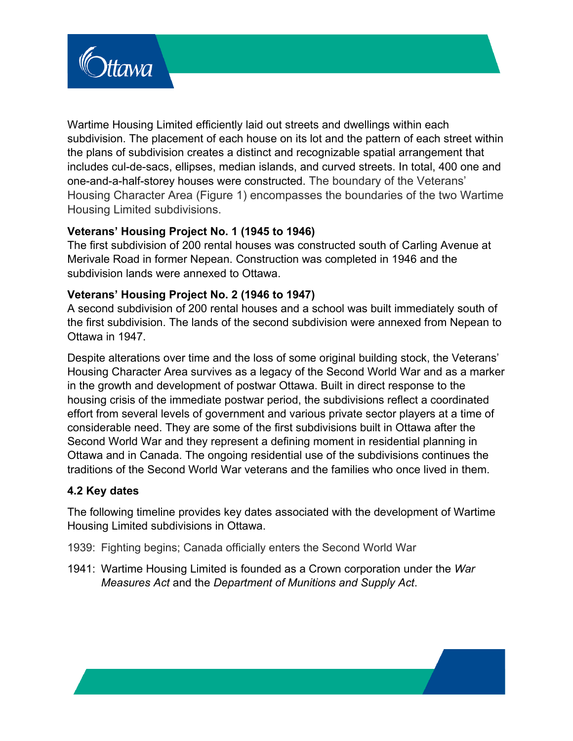

Wartime Housing Limited efficiently laid out streets and dwellings within each subdivision. The placement of each house on its lot and the pattern of each street within the plans of subdivision creates a distinct and recognizable spatial arrangement that includes cul-de-sacs, ellipses, median islands, and curved streets. In total, 400 one and one-and-a-half-storey houses were constructed. The boundary of the Veterans' Housing Character Area (Figure 1) encompasses the boundaries of the two Wartime Housing Limited subdivisions.

#### **Veterans' Housing Project No. 1 (1945 to 1946)**

The first subdivision of 200 rental houses was constructed south of Carling Avenue at Merivale Road in former Nepean. Construction was completed in 1946 and the subdivision lands were annexed to Ottawa.

#### **Veterans' Housing Project No. 2 (1946 to 1947)**

A second subdivision of 200 rental houses and a school was built immediately south of the first subdivision. The lands of the second subdivision were annexed from Nepean to Ottawa in 1947.

Despite alterations over time and the loss of some original building stock, the Veterans' Housing Character Area survives as a legacy of the Second World War and as a marker in the growth and development of postwar Ottawa. Built in direct response to the housing crisis of the immediate postwar period, the subdivisions reflect a coordinated effort from several levels of government and various private sector players at a time of considerable need. They are some of the first subdivisions built in Ottawa after the Second World War and they represent a defining moment in residential planning in Ottawa and in Canada. The ongoing residential use of the subdivisions continues the traditions of the Second World War veterans and the families who once lived in them.

### **4.2 Key dates**

The following timeline provides key dates associated with the development of Wartime Housing Limited subdivisions in Ottawa.

1939: Fighting begins; Canada officially enters the Second World War

1941: Wartime Housing Limited is founded as a Crown corporation under the *War Measures Act* and the *Department of Munitions and Supply Act*.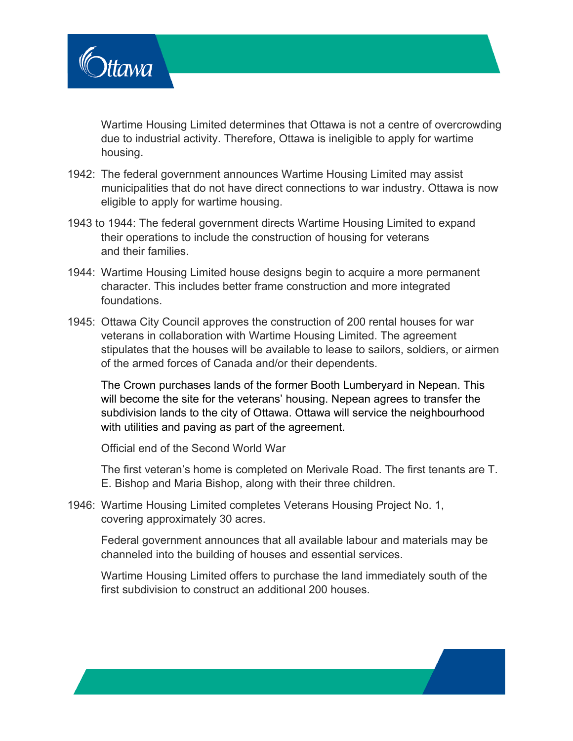

Wartime Housing Limited determines that Ottawa is not a centre of overcrowding due to industrial activity. Therefore, Ottawa is ineligible to apply for wartime housing.

- 1942: The federal government announces Wartime Housing Limited may assist municipalities that do not have direct connections to war industry. Ottawa is now eligible to apply for wartime housing.
- 1943 to 1944: The federal government directs Wartime Housing Limited to expand their operations to include the construction of housing for veterans and their families.
- 1944: Wartime Housing Limited house designs begin to acquire a more permanent character. This includes better frame construction and more integrated foundations.
- 1945: Ottawa City Council approves the construction of 200 rental houses for war veterans in collaboration with Wartime Housing Limited. The agreement stipulates that the houses will be available to lease to sailors, soldiers, or airmen of the armed forces of Canada and/or their dependents.

The Crown purchases lands of the former Booth Lumberyard in Nepean. This will become the site for the veterans' housing. Nepean agrees to transfer the subdivision lands to the city of Ottawa. Ottawa will service the neighbourhood with utilities and paving as part of the agreement.

Official end of the Second World War

The first veteran's home is completed on Merivale Road. The first tenants are T. E. Bishop and Maria Bishop, along with their three children.

1946: Wartime Housing Limited completes Veterans Housing Project No. 1, covering approximately 30 acres.

Federal government announces that all available labour and materials may be channeled into the building of houses and essential services.

Wartime Housing Limited offers to purchase the land immediately south of the first subdivision to construct an additional 200 houses.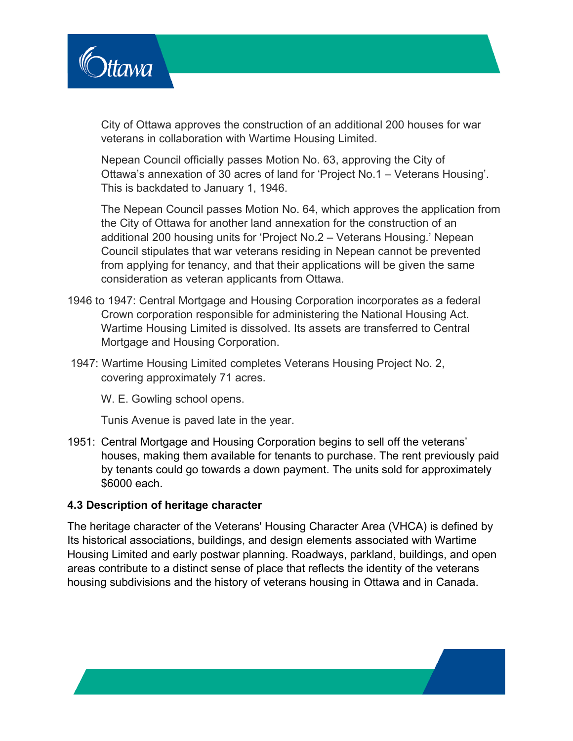

City of Ottawa approves the construction of an additional 200 houses for war veterans in collaboration with Wartime Housing Limited.

Nepean Council officially passes Motion No. 63, approving the City of Ottawa's annexation of 30 acres of land for 'Project No.1 – Veterans Housing'. This is backdated to January 1, 1946.

The Nepean Council passes Motion No. 64, which approves the application from the City of Ottawa for another land annexation for the construction of an additional 200 housing units for 'Project No.2 – Veterans Housing.' Nepean Council stipulates that war veterans residing in Nepean cannot be prevented from applying for tenancy, and that their applications will be given the same consideration as veteran applicants from Ottawa.

- 1946 to 1947: Central Mortgage and Housing Corporation incorporates as a federal Crown corporation responsible for administering the National Housing Act. Wartime Housing Limited is dissolved. Its assets are transferred to Central Mortgage and Housing Corporation.
- 1947: Wartime Housing Limited completes Veterans Housing Project No. 2, covering approximately 71 acres.

W. E. Gowling school opens.

Tunis Avenue is paved late in the year.

1951: Central Mortgage and Housing Corporation begins to sell off the veterans' houses, making them available for tenants to purchase. The rent previously paid by tenants could go towards a down payment. The units sold for approximately \$6000 each.

#### **4.3 Description of heritage character**

The heritage character of the Veterans' Housing Character Area (VHCA) is defined by Its historical associations, buildings, and design elements associated with Wartime Housing Limited and early postwar planning. Roadways, parkland, buildings, and open areas contribute to a distinct sense of place that reflects the identity of the veterans housing subdivisions and the history of veterans housing in Ottawa and in Canada.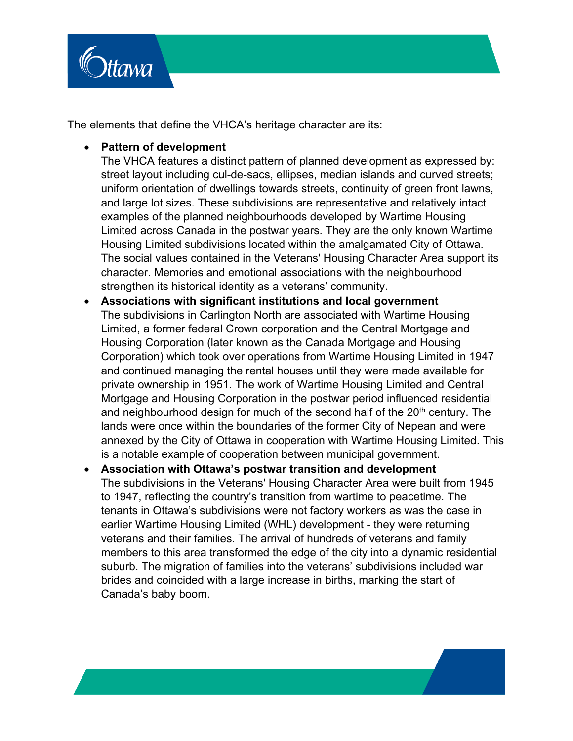

The elements that define the VHCA's heritage character are its:

#### • **Pattern of development**

The VHCA features a distinct pattern of planned development as expressed by: street layout including cul-de-sacs, ellipses, median islands and curved streets; uniform orientation of dwellings towards streets, continuity of green front lawns, and large lot sizes. These subdivisions are representative and relatively intact examples of the planned neighbourhoods developed by Wartime Housing Limited across Canada in the postwar years. They are the only known Wartime Housing Limited subdivisions located within the amalgamated City of Ottawa. The social values contained in the Veterans' Housing Character Area support its character. Memories and emotional associations with the neighbourhood strengthen its historical identity as a veterans' community.

- **Associations with significant institutions and local government** The subdivisions in Carlington North are associated with Wartime Housing Limited, a former federal Crown corporation and the Central Mortgage and Housing Corporation (later known as the Canada Mortgage and Housing Corporation) which took over operations from Wartime Housing Limited in 1947 and continued managing the rental houses until they were made available for private ownership in 1951. The work of Wartime Housing Limited and Central Mortgage and Housing Corporation in the postwar period influenced residential and neighbourhood design for much of the second half of the  $20<sup>th</sup>$  century. The lands were once within the boundaries of the former City of Nepean and were annexed by the City of Ottawa in cooperation with Wartime Housing Limited. This is a notable example of cooperation between municipal government.
- **Association with Ottawa's postwar transition and development** The subdivisions in the Veterans' Housing Character Area were built from 1945 to 1947, reflecting the country's transition from wartime to peacetime. The tenants in Ottawa's subdivisions were not factory workers as was the case in earlier Wartime Housing Limited (WHL) development - they were returning veterans and their families. The arrival of hundreds of veterans and family members to this area transformed the edge of the city into a dynamic residential suburb. The migration of families into the veterans' subdivisions included war brides and coincided with a large increase in births, marking the start of Canada's baby boom.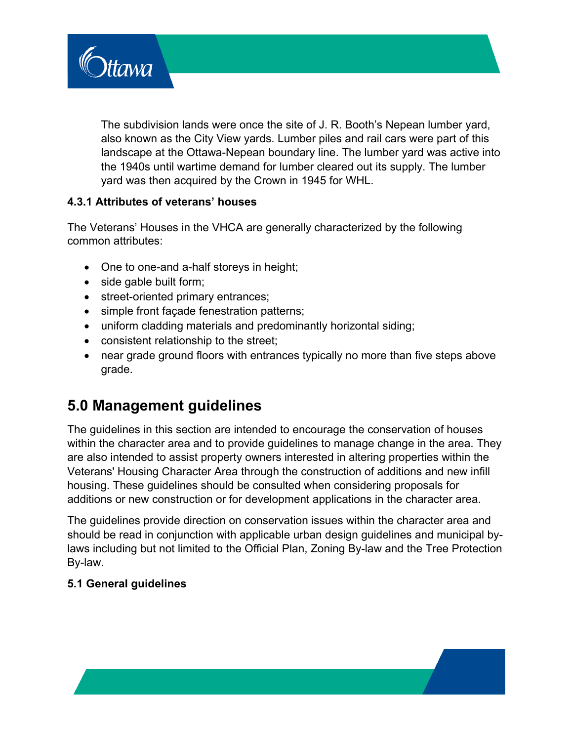The subdivision lands were once the site of J. R. Booth's Nepean lumber yard, also known as the City View yards. Lumber piles and rail cars were part of this landscape at the Ottawa-Nepean boundary line. The lumber yard was active into the 1940s until wartime demand for lumber cleared out its supply. The lumber yard was then acquired by the Crown in 1945 for WHL.

### **4.3.1 Attributes of veterans' houses**

The Veterans' Houses in the VHCA are generally characterized by the following common attributes:

- One to one-and a-half storeys in height;
- side gable built form;

**Ittawa** 

- street-oriented primary entrances;
- simple front façade fenestration patterns;
- uniform cladding materials and predominantly horizontal siding;
- consistent relationship to the street;
- near grade ground floors with entrances typically no more than five steps above grade.

# **5.0 Management guidelines**

The guidelines in this section are intended to encourage the conservation of houses within the character area and to provide guidelines to manage change in the area. They are also intended to assist property owners interested in altering properties within the Veterans' Housing Character Area through the construction of additions and new infill housing. These guidelines should be consulted when considering proposals for additions or new construction or for development applications in the character area.

The guidelines provide direction on conservation issues within the character area and should be read in conjunction with applicable urban design guidelines and municipal bylaws including but not limited to the Official Plan, Zoning By-law and the Tree Protection By-law.

### **5.1 General guidelines**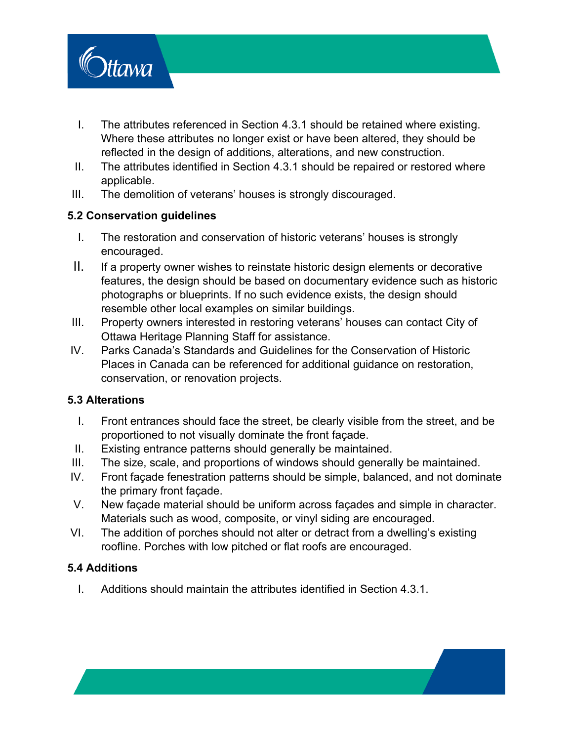

- I. The attributes referenced in Section 4.3.1 should be retained where existing. Where these attributes no longer exist or have been altered, they should be reflected in the design of additions, alterations, and new construction.
- II. The attributes identified in Section 4.3.1 should be repaired or restored where applicable.
- III. The demolition of veterans' houses is strongly discouraged.

### **5.2 Conservation guidelines**

- I. The restoration and conservation of historic veterans' houses is strongly encouraged.
- II. If a property owner wishes to reinstate historic design elements or decorative features, the design should be based on documentary evidence such as historic photographs or blueprints. If no such evidence exists, the design should resemble other local examples on similar buildings.
- III. Property owners interested in restoring veterans' houses can contact City of Ottawa Heritage Planning Staff for assistance.
- IV. Parks Canada's Standards and Guidelines for the Conservation of Historic Places in Canada can be referenced for additional guidance on restoration, conservation, or renovation projects.

### **5.3 Alterations**

- I. Front entrances should face the street, be clearly visible from the street, and be proportioned to not visually dominate the front façade.
- II. Existing entrance patterns should generally be maintained.
- III. The size, scale, and proportions of windows should generally be maintained.
- IV. Front façade fenestration patterns should be simple, balanced, and not dominate the primary front façade.
- V. New façade material should be uniform across façades and simple in character. Materials such as wood, composite, or vinyl siding are encouraged.
- VI. The addition of porches should not alter or detract from a dwelling's existing roofline. Porches with low pitched or flat roofs are encouraged.

### **5.4 Additions**

I. Additions should maintain the attributes identified in Section 4.3.1.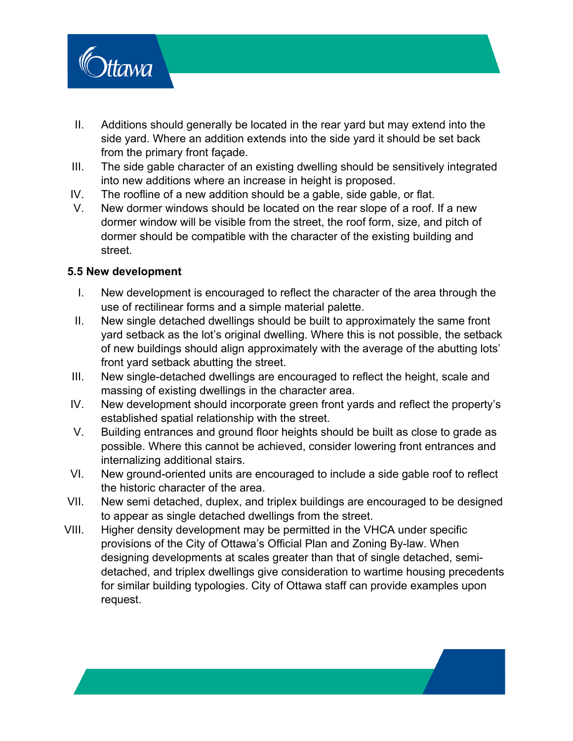

- II. Additions should generally be located in the rear yard but may extend into the side yard. Where an addition extends into the side yard it should be set back from the primary front façade.
- III. The side gable character of an existing dwelling should be sensitively integrated into new additions where an increase in height is proposed.
- IV. The roofline of a new addition should be a gable, side gable, or flat.
- V. New dormer windows should be located on the rear slope of a roof. If a new dormer window will be visible from the street, the roof form, size, and pitch of dormer should be compatible with the character of the existing building and street.

#### **5.5 New development**

- I. New development is encouraged to reflect the character of the area through the use of rectilinear forms and a simple material palette.
- II. New single detached dwellings should be built to approximately the same front yard setback as the lot's original dwelling. Where this is not possible, the setback of new buildings should align approximately with the average of the abutting lots' front yard setback abutting the street.
- III. New single-detached dwellings are encouraged to reflect the height, scale and massing of existing dwellings in the character area.
- IV. New development should incorporate green front yards and reflect the property's established spatial relationship with the street.
- V. Building entrances and ground floor heights should be built as close to grade as possible. Where this cannot be achieved, consider lowering front entrances and internalizing additional stairs.
- VI. New ground-oriented units are encouraged to include a side gable roof to reflect the historic character of the area.
- VII. New semi detached, duplex, and triplex buildings are encouraged to be designed to appear as single detached dwellings from the street.
- VIII. Higher density development may be permitted in the VHCA under specific provisions of the City of Ottawa's Official Plan and Zoning By-law. When designing developments at scales greater than that of single detached, semidetached, and triplex dwellings give consideration to wartime housing precedents for similar building typologies. City of Ottawa staff can provide examples upon request.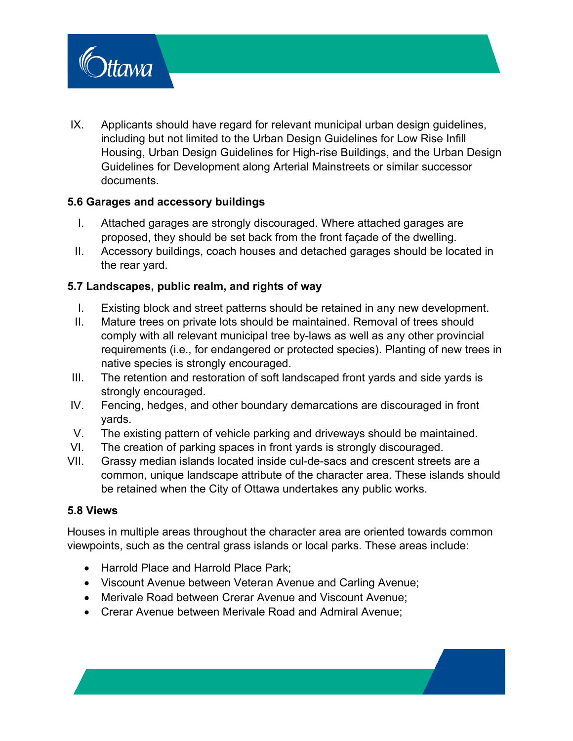

IX. Applicants should have regard for relevant municipal urban design guidelines, including but not limited to the Urban Design Guidelines for Low Rise Infill Housing, Urban Design Guidelines for High-rise Buildings, and the Urban Design Guidelines for Development along Arterial Mainstreets or similar successor documents.

#### **5.6 Garages and accessory buildings**

- I. Attached garages are strongly discouraged. Where attached garages are proposed, they should be set back from the front façade of the dwelling.
- II. Accessory buildings, coach houses and detached garages should be located in the rear yard.

### **5.7 Landscapes, public realm, and rights of way**

- I. Existing block and street patterns should be retained in any new development.
- II. Mature trees on private lots should be maintained. Removal of trees should comply with all relevant municipal tree by-laws as well as any other provincial requirements (i.e., for endangered or protected species). Planting of new trees in native species is strongly encouraged.
- III. The retention and restoration of soft landscaped front yards and side yards is strongly encouraged.
- IV. Fencing, hedges, and other boundary demarcations are discouraged in front yards.
- V. The existing pattern of vehicle parking and driveways should be maintained.
- VI. The creation of parking spaces in front yards is strongly discouraged.
- VII. Grassy median islands located inside cul-de-sacs and crescent streets are a common, unique landscape attribute of the character area. These islands should be retained when the City of Ottawa undertakes any public works.

#### **5.8 Views**

Houses in multiple areas throughout the character area are oriented towards common viewpoints, such as the central grass islands or local parks. These areas include:

- Harrold Place and Harrold Place Park;
- Viscount Avenue between Veteran Avenue and Carling Avenue;
- Merivale Road between Crerar Avenue and Viscount Avenue;
- Crerar Avenue between Merivale Road and Admiral Avenue;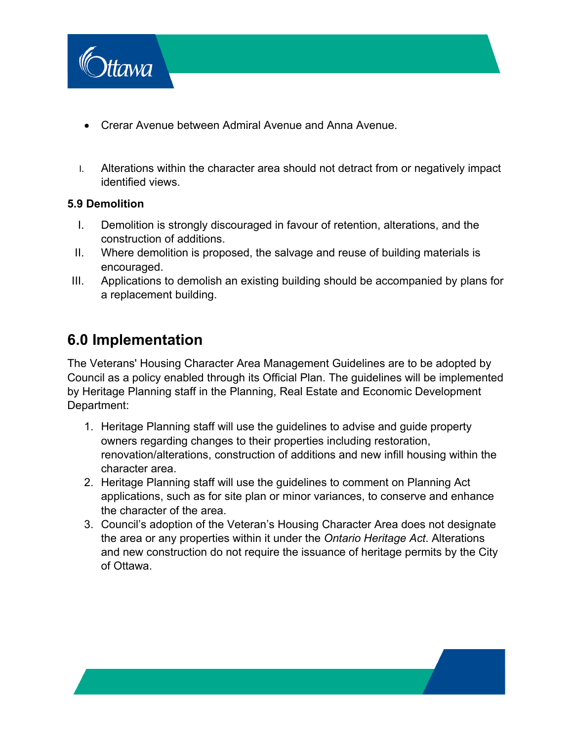

- Crerar Avenue between Admiral Avenue and Anna Avenue.
- I. Alterations within the character area should not detract from or negatively impact identified views.

#### **5.9 Demolition**

- I. Demolition is strongly discouraged in favour of retention, alterations, and the construction of additions.
- II. Where demolition is proposed, the salvage and reuse of building materials is encouraged.
- III. Applications to demolish an existing building should be accompanied by plans for a replacement building.

# **6.0 Implementation**

The Veterans' Housing Character Area Management Guidelines are to be adopted by Council as a policy enabled through its Official Plan. The guidelines will be implemented by Heritage Planning staff in the Planning, Real Estate and Economic Development Department:

- 1. Heritage Planning staff will use the guidelines to advise and guide property owners regarding changes to their properties including restoration, renovation/alterations, construction of additions and new infill housing within the character area.
- 2. Heritage Planning staff will use the guidelines to comment on Planning Act applications, such as for site plan or minor variances, to conserve and enhance the character of the area.
- 3. Council's adoption of the Veteran's Housing Character Area does not designate the area or any properties within it under the *Ontario Heritage Act*. Alterations and new construction do not require the issuance of heritage permits by the City of Ottawa.